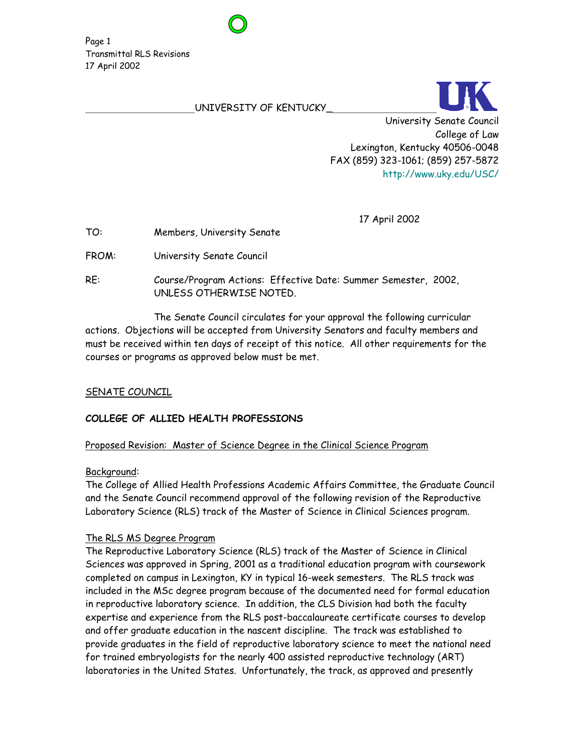#### UNIVERSITY OF KENTUCKY\_



17 April 2002

TO: Members, University Senate

FROM: University Senate Council

RE: Course/Program Actions: Effective Date: Summer Semester, 2002, UNLESS OTHERWISE NOTED.

 The Senate Council circulates for your approval the following curricular actions. Objections will be accepted from University Senators and faculty members and must be received within ten days of receipt of this notice. All other requirements for the courses or programs as approved below must be met.

### SENATE COUNCIL

# **COLLEGE OF ALLIED HEALTH PROFESSIONS**

### Proposed Revision: Master of Science Degree in the Clinical Science Program

### Background:

The College of Allied Health Professions Academic Affairs Committee, the Graduate Council and the Senate Council recommend approval of the following revision of the Reproductive Laboratory Science (RLS) track of the Master of Science in Clinical Sciences program.

### The RLS MS Degree Program

The Reproductive Laboratory Science (RLS) track of the Master of Science in Clinical Sciences was approved in Spring, 2001 as a traditional education program with coursework completed on campus in Lexington, KY in typical 16-week semesters. The RLS track was included in the MSc degree program because of the documented need for formal education in reproductive laboratory science. In addition, the CLS Division had both the faculty expertise and experience from the RLS post-baccalaureate certificate courses to develop and offer graduate education in the nascent discipline. The track was established to provide graduates in the field of reproductive laboratory science to meet the national need for trained embryologists for the nearly 400 assisted reproductive technology (ART) laboratories in the United States. Unfortunately, the track, as approved and presently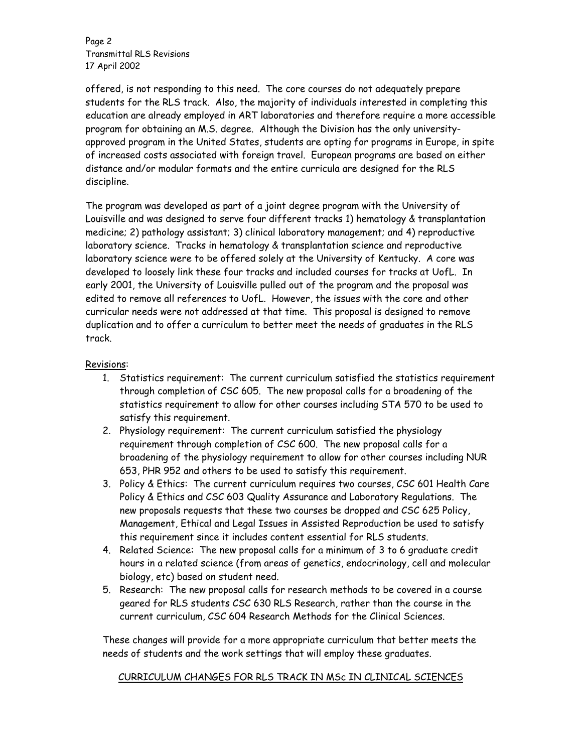Page 2 Transmittal RLS Revisions 17 April 2002

offered, is not responding to this need. The core courses do not adequately prepare students for the RLS track. Also, the majority of individuals interested in completing this education are already employed in ART laboratories and therefore require a more accessible program for obtaining an M.S. degree. Although the Division has the only universityapproved program in the United States, students are opting for programs in Europe, in spite of increased costs associated with foreign travel. European programs are based on either distance and/or modular formats and the entire curricula are designed for the RLS discipline.

The program was developed as part of a joint degree program with the University of Louisville and was designed to serve four different tracks 1) hematology & transplantation medicine; 2) pathology assistant; 3) clinical laboratory management; and 4) reproductive laboratory science. Tracks in hematology & transplantation science and reproductive laboratory science were to be offered solely at the University of Kentucky. A core was developed to loosely link these four tracks and included courses for tracks at UofL. In early 2001, the University of Louisville pulled out of the program and the proposal was edited to remove all references to UofL. However, the issues with the core and other curricular needs were not addressed at that time. This proposal is designed to remove duplication and to offer a curriculum to better meet the needs of graduates in the RLS track.

## Revisions:

- 1. Statistics requirement: The current curriculum satisfied the statistics requirement through completion of CSC 605. The new proposal calls for a broadening of the statistics requirement to allow for other courses including STA 570 to be used to satisfy this requirement.
- 2. Physiology requirement: The current curriculum satisfied the physiology requirement through completion of CSC 600. The new proposal calls for a broadening of the physiology requirement to allow for other courses including NUR 653, PHR 952 and others to be used to satisfy this requirement.
- 3. Policy & Ethics: The current curriculum requires two courses, CSC 601 Health Care Policy & Ethics and CSC 603 Quality Assurance and Laboratory Regulations. The new proposals requests that these two courses be dropped and CSC 625 Policy, Management, Ethical and Legal Issues in Assisted Reproduction be used to satisfy this requirement since it includes content essential for RLS students.
- 4. Related Science: The new proposal calls for a minimum of 3 to 6 graduate credit hours in a related science (from areas of genetics, endocrinology, cell and molecular biology, etc) based on student need.
- 5. Research: The new proposal calls for research methods to be covered in a course geared for RLS students CSC 630 RLS Research, rather than the course in the current curriculum, CSC 604 Research Methods for the Clinical Sciences.

These changes will provide for a more appropriate curriculum that better meets the needs of students and the work settings that will employ these graduates.

# CURRICULUM CHANGES FOR RLS TRACK IN MSc IN CLINICAL SCIENCES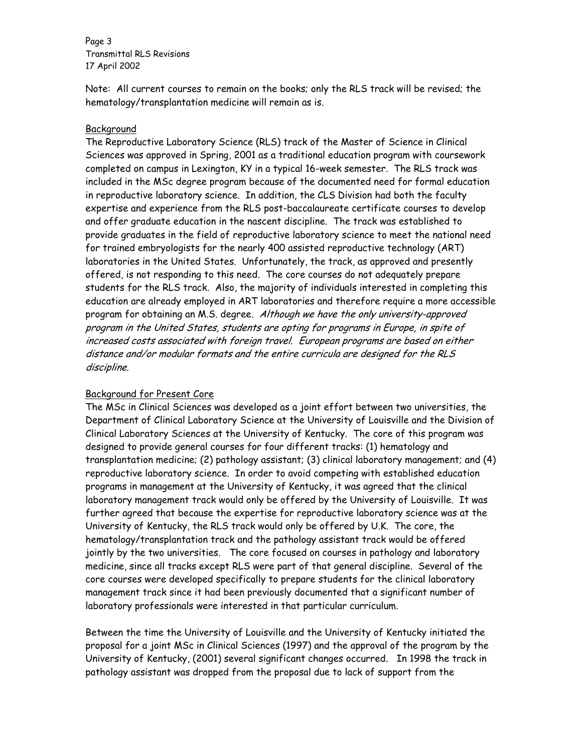Page 3 Transmittal RLS Revisions 17 April 2002

Note: All current courses to remain on the books; only the RLS track will be revised; the hematology/transplantation medicine will remain as is.

## **Background**

The Reproductive Laboratory Science (RLS) track of the Master of Science in Clinical Sciences was approved in Spring, 2001 as a traditional education program with coursework completed on campus in Lexington, KY in a typical 16-week semester. The RLS track was included in the MSc degree program because of the documented need for formal education in reproductive laboratory science. In addition, the CLS Division had both the faculty expertise and experience from the RLS post-baccalaureate certificate courses to develop and offer graduate education in the nascent discipline. The track was established to provide graduates in the field of reproductive laboratory science to meet the national need for trained embryologists for the nearly 400 assisted reproductive technology (ART) laboratories in the United States. Unfortunately, the track, as approved and presently offered, is not responding to this need. The core courses do not adequately prepare students for the RLS track. Also, the majority of individuals interested in completing this education are already employed in ART laboratories and therefore require a more accessible program for obtaining an M.S. degree. Although we have the only university-approved program in the United States, students are opting for programs in Europe, in spite of increased costs associated with foreign travel. European programs are based on either distance and/or modular formats and the entire curricula are designed for the RLS discipline.

### Background for Present Core

The MSc in Clinical Sciences was developed as a joint effort between two universities, the Department of Clinical Laboratory Science at the University of Louisville and the Division of Clinical Laboratory Sciences at the University of Kentucky. The core of this program was designed to provide general courses for four different tracks: (1) hematology and transplantation medicine; (2) pathology assistant; (3) clinical laboratory management; and (4) reproductive laboratory science. In order to avoid competing with established education programs in management at the University of Kentucky, it was agreed that the clinical laboratory management track would only be offered by the University of Louisville. It was further agreed that because the expertise for reproductive laboratory science was at the University of Kentucky, the RLS track would only be offered by U.K. The core, the hematology/transplantation track and the pathology assistant track would be offered jointly by the two universities. The core focused on courses in pathology and laboratory medicine, since all tracks except RLS were part of that general discipline. Several of the core courses were developed specifically to prepare students for the clinical laboratory management track since it had been previously documented that a significant number of laboratory professionals were interested in that particular curriculum.

Between the time the University of Louisville and the University of Kentucky initiated the proposal for a joint MSc in Clinical Sciences (1997) and the approval of the program by the University of Kentucky, (2001) several significant changes occurred. In 1998 the track in pathology assistant was dropped from the proposal due to lack of support from the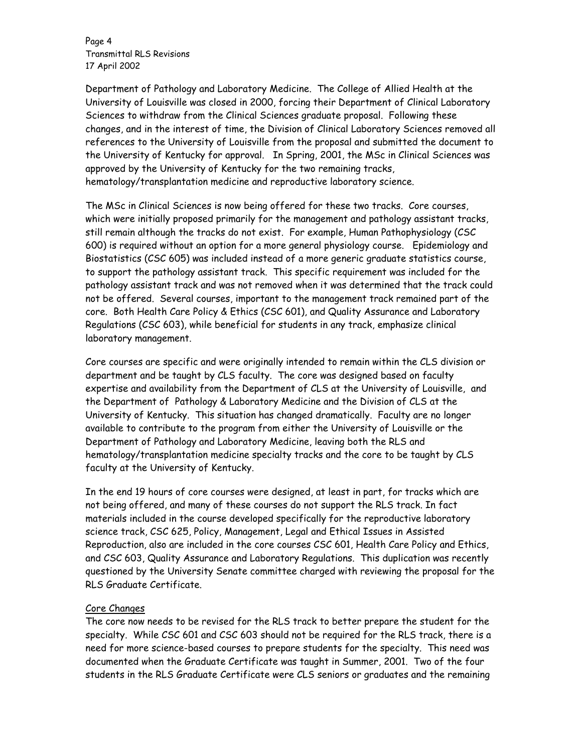Page 4 Transmittal RLS Revisions 17 April 2002

Department of Pathology and Laboratory Medicine. The College of Allied Health at the University of Louisville was closed in 2000, forcing their Department of Clinical Laboratory Sciences to withdraw from the Clinical Sciences graduate proposal. Following these changes, and in the interest of time, the Division of Clinical Laboratory Sciences removed all references to the University of Louisville from the proposal and submitted the document to the University of Kentucky for approval. In Spring, 2001, the MSc in Clinical Sciences was approved by the University of Kentucky for the two remaining tracks, hematology/transplantation medicine and reproductive laboratory science.

The MSc in Clinical Sciences is now being offered for these two tracks. Core courses, which were initially proposed primarily for the management and pathology assistant tracks, still remain although the tracks do not exist. For example, Human Pathophysiology (CSC 600) is required without an option for a more general physiology course. Epidemiology and Biostatistics (CSC 605) was included instead of a more generic graduate statistics course, to support the pathology assistant track. This specific requirement was included for the pathology assistant track and was not removed when it was determined that the track could not be offered. Several courses, important to the management track remained part of the core. Both Health Care Policy & Ethics (CSC 601), and Quality Assurance and Laboratory Regulations (CSC 603), while beneficial for students in any track, emphasize clinical laboratory management.

Core courses are specific and were originally intended to remain within the CLS division or department and be taught by CLS faculty. The core was designed based on faculty expertise and availability from the Department of CLS at the University of Louisville, and the Department of Pathology & Laboratory Medicine and the Division of CLS at the University of Kentucky. This situation has changed dramatically. Faculty are no longer available to contribute to the program from either the University of Louisville or the Department of Pathology and Laboratory Medicine, leaving both the RLS and hematology/transplantation medicine specialty tracks and the core to be taught by CLS faculty at the University of Kentucky.

In the end 19 hours of core courses were designed, at least in part, for tracks which are not being offered, and many of these courses do not support the RLS track. In fact materials included in the course developed specifically for the reproductive laboratory science track, CSC 625, Policy, Management, Legal and Ethical Issues in Assisted Reproduction, also are included in the core courses CSC 601, Health Care Policy and Ethics, and CSC 603, Quality Assurance and Laboratory Regulations. This duplication was recently questioned by the University Senate committee charged with reviewing the proposal for the RLS Graduate Certificate.

### Core Changes

The core now needs to be revised for the RLS track to better prepare the student for the specialty. While CSC 601 and CSC 603 should not be required for the RLS track, there is a need for more science-based courses to prepare students for the specialty. This need was documented when the Graduate Certificate was taught in Summer, 2001. Two of the four students in the RLS Graduate Certificate were CLS seniors or graduates and the remaining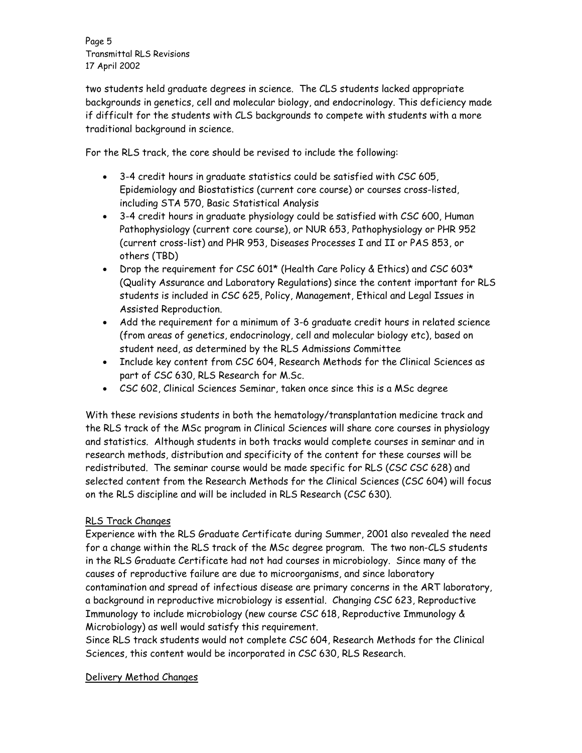Page 5 Transmittal RLS Revisions 17 April 2002

two students held graduate degrees in science. The CLS students lacked appropriate backgrounds in genetics, cell and molecular biology, and endocrinology. This deficiency made if difficult for the students with CLS backgrounds to compete with students with a more traditional background in science.

For the RLS track, the core should be revised to include the following:

- 3-4 credit hours in graduate statistics could be satisfied with CSC 605, Epidemiology and Biostatistics (current core course) or courses cross-listed, including STA 570, Basic Statistical Analysis
- 3-4 credit hours in graduate physiology could be satisfied with CSC 600, Human Pathophysiology (current core course), or NUR 653, Pathophysiology or PHR 952 (current cross-list) and PHR 953, Diseases Processes I and II or PAS 853, or others (TBD)
- Drop the requirement for CSC 601\* (Health Care Policy & Ethics) and CSC 603\* (Quality Assurance and Laboratory Regulations) since the content important for RLS students is included in CSC 625, Policy, Management, Ethical and Legal Issues in Assisted Reproduction.
- Add the requirement for a minimum of 3-6 graduate credit hours in related science (from areas of genetics, endocrinology, cell and molecular biology etc), based on student need, as determined by the RLS Admissions Committee
- Include key content from CSC 604, Research Methods for the Clinical Sciences as part of CSC 630, RLS Research for M.Sc.
- CSC 602, Clinical Sciences Seminar, taken once since this is a MSc degree

With these revisions students in both the hematology/transplantation medicine track and the RLS track of the MSc program in Clinical Sciences will share core courses in physiology and statistics. Although students in both tracks would complete courses in seminar and in research methods, distribution and specificity of the content for these courses will be redistributed. The seminar course would be made specific for RLS (CSC CSC 628) and selected content from the Research Methods for the Clinical Sciences (CSC 604) will focus on the RLS discipline and will be included in RLS Research (CSC 630).

# RLS Track Changes

Experience with the RLS Graduate Certificate during Summer, 2001 also revealed the need for a change within the RLS track of the MSc degree program. The two non-CLS students in the RLS Graduate Certificate had not had courses in microbiology. Since many of the causes of reproductive failure are due to microorganisms, and since laboratory contamination and spread of infectious disease are primary concerns in the ART laboratory, a background in reproductive microbiology is essential. Changing CSC 623, Reproductive Immunology to include microbiology (new course CSC 618, Reproductive Immunology & Microbiology) as well would satisfy this requirement.

Since RLS track students would not complete CSC 604, Research Methods for the Clinical Sciences, this content would be incorporated in CSC 630, RLS Research.

# Delivery Method Changes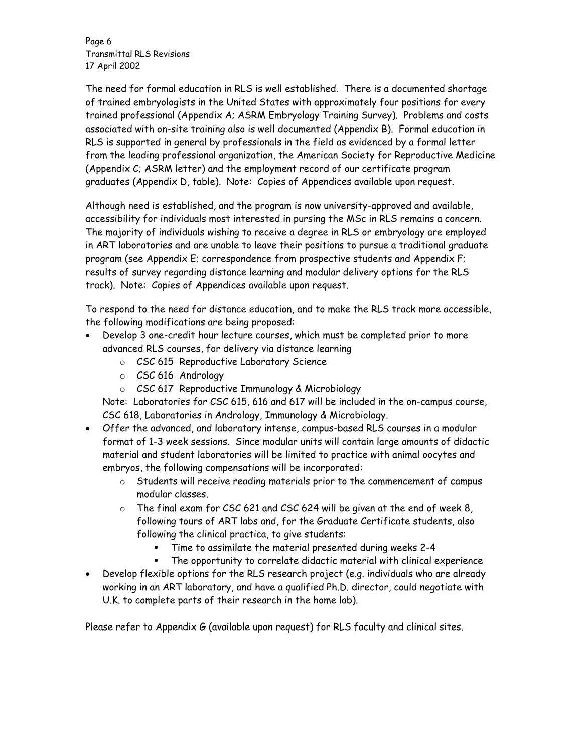Page 6 Transmittal RLS Revisions 17 April 2002

The need for formal education in RLS is well established. There is a documented shortage of trained embryologists in the United States with approximately four positions for every trained professional (Appendix A; ASRM Embryology Training Survey). Problems and costs associated with on-site training also is well documented (Appendix B). Formal education in RLS is supported in general by professionals in the field as evidenced by a formal letter from the leading professional organization, the American Society for Reproductive Medicine (Appendix C; ASRM letter) and the employment record of our certificate program graduates (Appendix D, table). Note: Copies of Appendices available upon request.

Although need is established, and the program is now university-approved and available, accessibility for individuals most interested in pursing the MSc in RLS remains a concern. The majority of individuals wishing to receive a degree in RLS or embryology are employed in ART laboratories and are unable to leave their positions to pursue a traditional graduate program (see Appendix E; correspondence from prospective students and Appendix F; results of survey regarding distance learning and modular delivery options for the RLS track). Note: Copies of Appendices available upon request.

To respond to the need for distance education, and to make the RLS track more accessible, the following modifications are being proposed:

- Develop 3 one-credit hour lecture courses, which must be completed prior to more advanced RLS courses, for delivery via distance learning
	- o CSC 615 Reproductive Laboratory Science
	- o CSC 616 Andrology
	- o CSC 617 Reproductive Immunology & Microbiology

Note: Laboratories for CSC 615, 616 and 617 will be included in the on-campus course, CSC 618, Laboratories in Andrology, Immunology & Microbiology.

- Offer the advanced, and laboratory intense, campus-based RLS courses in a modular format of 1-3 week sessions. Since modular units will contain large amounts of didactic material and student laboratories will be limited to practice with animal oocytes and embryos, the following compensations will be incorporated:
	- o Students will receive reading materials prior to the commencement of campus modular classes.
	- $\circ$  The final exam for CSC 621 and CSC 624 will be given at the end of week 8, following tours of ART labs and, for the Graduate Certificate students, also following the clinical practica, to give students:
		- Time to assimilate the material presented during weeks 2-4
		- The opportunity to correlate didactic material with clinical experience
- Develop flexible options for the RLS research project (e.g. individuals who are already working in an ART laboratory, and have a qualified Ph.D. director, could negotiate with U.K. to complete parts of their research in the home lab).

Please refer to Appendix G (available upon request) for RLS faculty and clinical sites.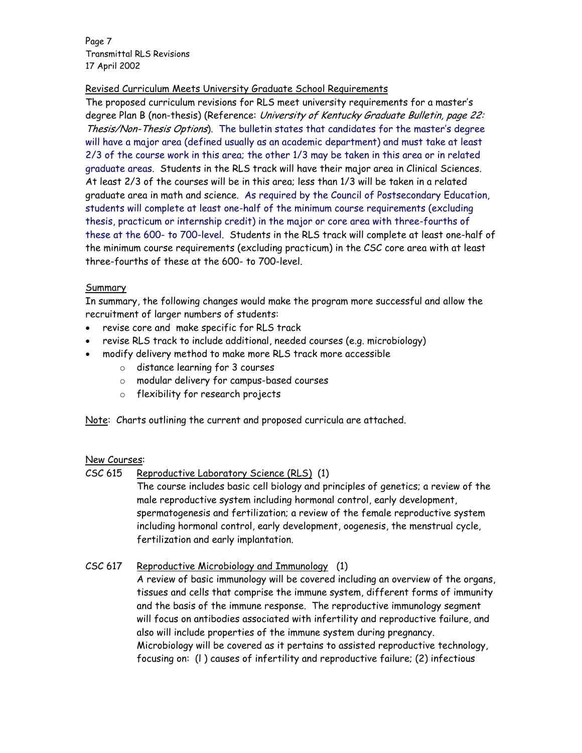Page 7 Transmittal RLS Revisions 17 April 2002

# Revised Curriculum Meets University Graduate School Requirements

The proposed curriculum revisions for RLS meet university requirements for a master's degree Plan B (non-thesis) (Reference: University of Kentucky Graduate Bulletin, page 22: Thesis/Non-Thesis Options). The bulletin states that candidates for the master's degree will have a major area (defined usually as an academic department) and must take at least 2/3 of the course work in this area; the other 1/3 may be taken in this area or in related graduate areas. Students in the RLS track will have their major area in Clinical Sciences. At least 2/3 of the courses will be in this area; less than 1/3 will be taken in a related graduate area in math and science. As required by the Council of Postsecondary Education, students will complete at least one-half of the minimum course requirements (excluding thesis, practicum or internship credit) in the major or core area with three-fourths of these at the 600- to 700-level. Students in the RLS track will complete at least one-half of the minimum course requirements (excluding practicum) in the CSC core area with at least three-fourths of these at the 600- to 700-level.

# **Summary**

In summary, the following changes would make the program more successful and allow the recruitment of larger numbers of students:

- revise core and make specific for RLS track
- revise RLS track to include additional, needed courses (e.g. microbiology)
- modify delivery method to make more RLS track more accessible
	- o distance learning for 3 courses
	- o modular delivery for campus-based courses
	- o flexibility for research projects

Note: Charts outlining the current and proposed curricula are attached.

# New Courses:

CSC 615 Reproductive Laboratory Science (RLS) (1)

The course includes basic cell biology and principles of genetics; a review of the male reproductive system including hormonal control, early development, spermatogenesis and fertilization; a review of the female reproductive system including hormonal control, early development, oogenesis, the menstrual cycle, fertilization and early implantation.

CSC 617 Reproductive Microbiology and Immunology (1)

 A review of basic immunology will be covered including an overview of the organs, tissues and cells that comprise the immune system, different forms of immunity and the basis of the immune response. The reproductive immunology segment will focus on antibodies associated with infertility and reproductive failure, and also will include properties of the immune system during pregnancy. Microbiology will be covered as it pertains to assisted reproductive technology, focusing on: (l ) causes of infertility and reproductive failure; (2) infectious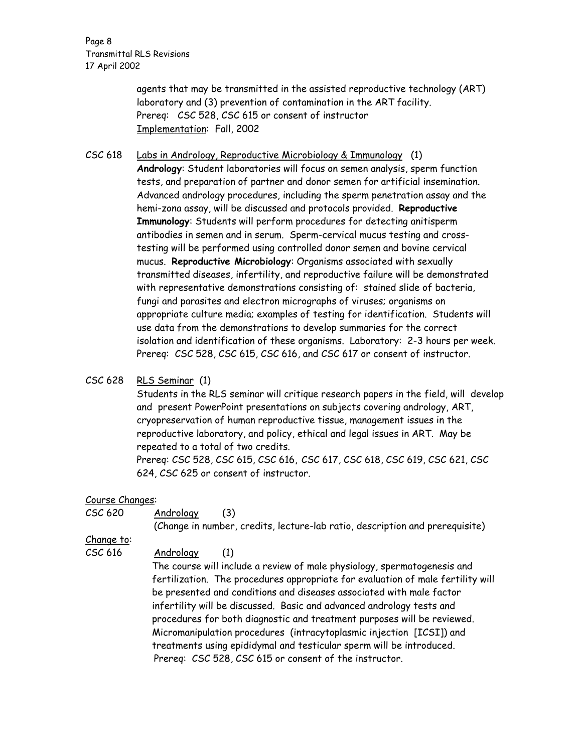Page 8 Transmittal RLS Revisions 17 April 2002

> agents that may be transmitted in the assisted reproductive technology (ART) laboratory and (3) prevention of contamination in the ART facility. Prereq: CSC 528, CSC 615 or consent of instructor Implementation: Fall, 2002

CSC 618 Labs in Andrology, Reproductive Microbiology & Immunology (1) **Andrology**: Student laboratories will focus on semen analysis, sperm function tests, and preparation of partner and donor semen for artificial insemination. Advanced andrology procedures, including the sperm penetration assay and the hemi-zona assay, will be discussed and protocols provided. **Reproductive Immunology**: Students will perform procedures for detecting anitisperm antibodies in semen and in serum. Sperm-cervical mucus testing and crosstesting will be performed using controlled donor semen and bovine cervical mucus. **Reproductive Microbiology**: Organisms associated with sexually transmitted diseases, infertility, and reproductive failure will be demonstrated with representative demonstrations consisting of: stained slide of bacteria, fungi and parasites and electron micrographs of viruses; organisms on appropriate culture media; examples of testing for identification. Students will use data from the demonstrations to develop summaries for the correct isolation and identification of these organisms. Laboratory: 2-3 hours per week. Prereq: CSC 528, CSC 615, CSC 616, and CSC 617 or consent of instructor.

### CSC 628 RLS Seminar (1)

Students in the RLS seminar will critique research papers in the field, will develop and present PowerPoint presentations on subjects covering andrology, ART, cryopreservation of human reproductive tissue, management issues in the reproductive laboratory, and policy, ethical and legal issues in ART. May be repeated to a total of two credits.

Prereq: CSC 528, CSC 615, CSC 616, CSC 617, CSC 618, CSC 619, CSC 621, CSC 624, CSC 625 or consent of instructor.

### Course Changes:

| CSC 620           | Andrology<br>(3)                                                                |
|-------------------|---------------------------------------------------------------------------------|
|                   | (Change in number, credits, lecture-lab ratio, description and prerequisite)    |
| <u>Change to:</u> |                                                                                 |
| CSC 616           | Andrology<br>(1)                                                                |
|                   | The course will include a review of male physiology, spermatogenesis and        |
|                   | fertilization. The procedures appropriate for evaluation of male fertility will |
|                   | be presented and conditions and diseases associated with male factor            |
|                   | infertility will be discussed. Basic and advanced andrology tests and           |
|                   | procedures for both diagnostic and treatment purposes will be reviewed.         |
|                   | Micromanipulation procedures (intracytoplasmic injection [ICSI]) and            |
|                   | treatments using epididymal and testicular sperm will be introduced.            |
|                   | Prereq: CSC 528, CSC 615 or consent of the instructor.                          |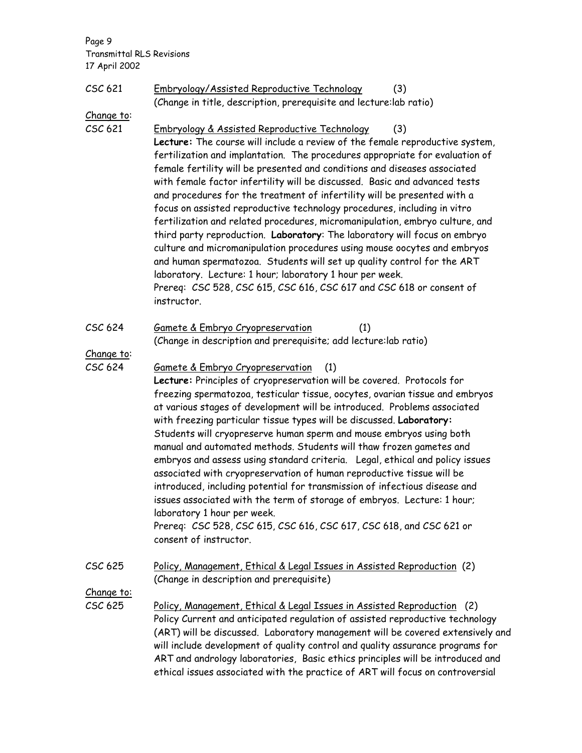Page 9 Transmittal RLS Revisions 17 April 2002

| CSC 621           | Embryology/Assisted Reproductive Technology<br>(3)<br>(Change in title, description, prerequisite and lecture: lab ratio)                                                                                                                                                                                                                                                                                                                                                                                                                                                                                                                                                                                                                                                                                                                                                                                                                                                                                      |
|-------------------|----------------------------------------------------------------------------------------------------------------------------------------------------------------------------------------------------------------------------------------------------------------------------------------------------------------------------------------------------------------------------------------------------------------------------------------------------------------------------------------------------------------------------------------------------------------------------------------------------------------------------------------------------------------------------------------------------------------------------------------------------------------------------------------------------------------------------------------------------------------------------------------------------------------------------------------------------------------------------------------------------------------|
| <u>Change to:</u> |                                                                                                                                                                                                                                                                                                                                                                                                                                                                                                                                                                                                                                                                                                                                                                                                                                                                                                                                                                                                                |
| CSC 621           | Embryology & Assisted Reproductive Technology<br>(3)<br>Lecture: The course will include a review of the female reproductive system,<br>fertilization and implantation. The procedures appropriate for evaluation of<br>female fertility will be presented and conditions and diseases associated<br>with female factor infertility will be discussed. Basic and advanced tests<br>and procedures for the treatment of infertility will be presented with a<br>focus on assisted reproductive technology procedures, including in vitro<br>fertilization and related procedures, micromanipulation, embryo culture, and<br>third party reproduction. Laboratory: The laboratory will focus on embryo<br>culture and micromanipulation procedures using mouse oocytes and embryos<br>and human spermatozoa. Students will set up quality control for the ART<br>laboratory. Lecture: 1 hour; laboratory 1 hour per week.<br>Prereq: CSC 528, CSC 615, CSC 616, CSC 617 and CSC 618 or consent of<br>instructor. |
| CSC 624           | Gamete & Embryo Cryopreservation<br>(1)<br>(Change in description and prerequisite; add lecture: lab ratio)                                                                                                                                                                                                                                                                                                                                                                                                                                                                                                                                                                                                                                                                                                                                                                                                                                                                                                    |
| Change to:        |                                                                                                                                                                                                                                                                                                                                                                                                                                                                                                                                                                                                                                                                                                                                                                                                                                                                                                                                                                                                                |
| CSC 624           | Gamete & Embryo Cryopreservation<br>(1)<br>Lecture: Principles of cryopreservation will be covered. Protocols for<br>freezing spermatozoa, testicular tissue, oocytes, ovarian tissue and embryos<br>at various stages of development will be introduced. Problems associated<br>with freezing particular tissue types will be discussed. Laboratory:<br>Students will cryopreserve human sperm and mouse embryos using both<br>manual and automated methods. Students will thaw frozen gametes and<br>embryos and assess using standard criteria. Legal, ethical and policy issues<br>associated with cryopreservation of human reproductive tissue will be<br>introduced, including potential for transmission of infectious disease and<br>issues associated with the term of storage of embryos. Lecture: 1 hour;<br>laboratory 1 hour per week.<br>Prereq: CSC 528, CSC 615, CSC 616, CSC 617, CSC 618, and CSC 621 or<br>consent of instructor.                                                          |
| CSC 625           | Policy, Management, Ethical & Legal Issues in Assisted Reproduction (2)<br>(Change in description and prerequisite)                                                                                                                                                                                                                                                                                                                                                                                                                                                                                                                                                                                                                                                                                                                                                                                                                                                                                            |
| <u>Change to:</u> |                                                                                                                                                                                                                                                                                                                                                                                                                                                                                                                                                                                                                                                                                                                                                                                                                                                                                                                                                                                                                |
| CSC 625           | Policy, Management, Ethical & Legal Issues in Assisted Reproduction (2)<br>Policy Current and anticipated regulation of assisted reproductive technology<br>(ART) will be discussed. Laboratory management will be covered extensively and<br>will include development of quality control and quality assurance programs for<br>ART and andrology laboratories, Basic ethics principles will be introduced and<br>ethical issues associated with the practice of ART will focus on controversial                                                                                                                                                                                                                                                                                                                                                                                                                                                                                                               |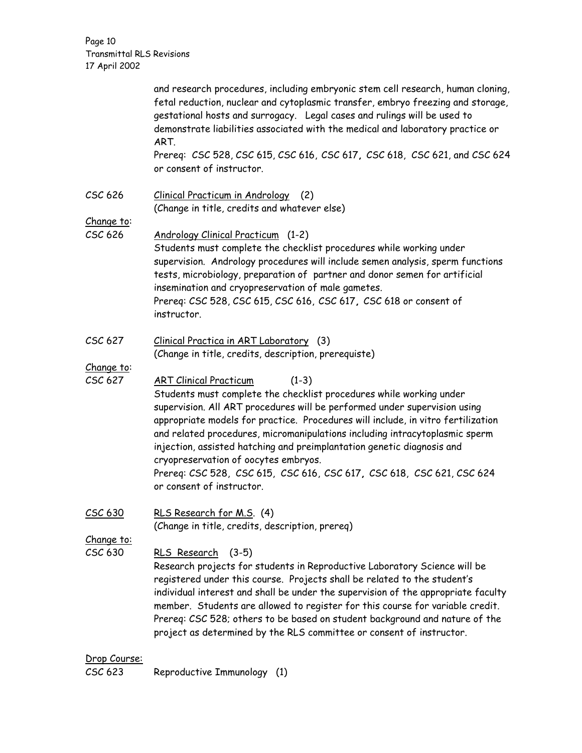Page 10 Transmittal RLS Revisions 17 April 2002

|                              | and research procedures, including embryonic stem cell research, human cloning,<br>fetal reduction, nuclear and cytoplasmic transfer, embryo freezing and storage,<br>gestational hosts and surrogacy. Legal cases and rulings will be used to<br>demonstrate liabilities associated with the medical and laboratory practice or<br>ART.<br>Prereq: CSC 528, CSC 615, CSC 616, CSC 617, CSC 618, CSC 621, and CSC 624                                                                                                                                                                   |
|------------------------------|-----------------------------------------------------------------------------------------------------------------------------------------------------------------------------------------------------------------------------------------------------------------------------------------------------------------------------------------------------------------------------------------------------------------------------------------------------------------------------------------------------------------------------------------------------------------------------------------|
|                              | or consent of instructor.                                                                                                                                                                                                                                                                                                                                                                                                                                                                                                                                                               |
| CSC 626                      | Clinical Practicum in Andrology (2)<br>(Change in title, credits and whatever else)                                                                                                                                                                                                                                                                                                                                                                                                                                                                                                     |
| Change to:<br>CSC 626        | <b>Andrology Clinical Practicum (1-2)</b><br>Students must complete the checklist procedures while working under<br>supervision. Andrology procedures will include semen analysis, sperm functions<br>tests, microbiology, preparation of partner and donor semen for artificial<br>insemination and cryopreservation of male gametes.<br>Prereq: CSC 528, CSC 615, CSC 616, CSC 617, CSC 618 or consent of<br>instructor.                                                                                                                                                              |
| CSC 627                      | Clinical Practica in ART Laboratory (3)<br>(Change in title, credits, description, prerequiste)                                                                                                                                                                                                                                                                                                                                                                                                                                                                                         |
| Change to:<br>CSC 627        | <b>ART Clinical Practicum</b><br>$(1-3)$<br>Students must complete the checklist procedures while working under<br>supervision. All ART procedures will be performed under supervision using<br>appropriate models for practice. Procedures will include, in vitro fertilization<br>and related procedures, micromanipulations including intracytoplasmic sperm<br>injection, assisted hatching and preimplantation genetic diagnosis and<br>cryopreservation of oocytes embryos.<br>Prereq: CSC 528, CSC 615, CSC 616, CSC 617, CSC 618, CSC 621, CSC 624<br>or consent of instructor. |
| CSC 630                      | RLS Research for M.S. (4)<br>(Change in title, credits, description, prereq)                                                                                                                                                                                                                                                                                                                                                                                                                                                                                                            |
| <u>Change to:</u><br>CSC 630 | RLS Research (3-5)<br>Research projects for students in Reproductive Laboratory Science will be<br>registered under this course. Projects shall be related to the student's<br>individual interest and shall be under the supervision of the appropriate faculty<br>member. Students are allowed to register for this course for variable credit.<br>Prereq: CSC 528; others to be based on student background and nature of the<br>project as determined by the RLS committee or consent of instructor.                                                                                |
| Drop Course:                 |                                                                                                                                                                                                                                                                                                                                                                                                                                                                                                                                                                                         |

CSC 623 Reproductive Immunology (1)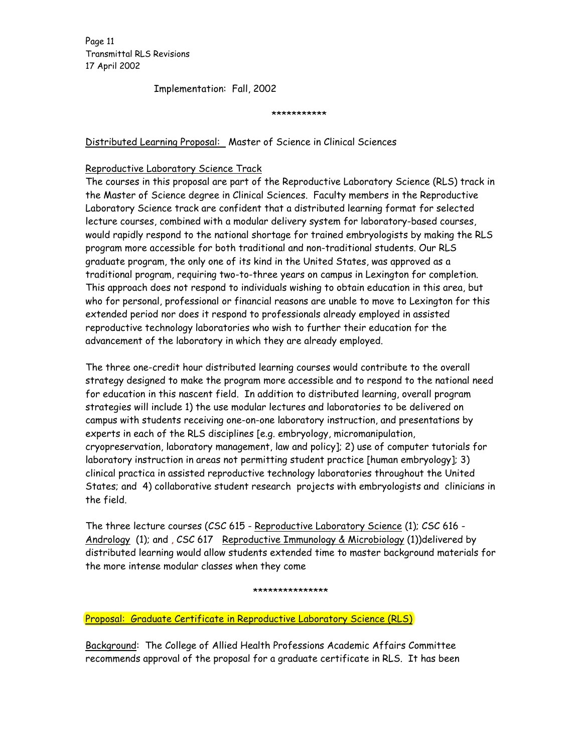Page 11 Transmittal RLS Revisions 17 April 2002

Implementation: Fall, 2002

\*\*\*\*\*\*\*\*\*\*\*

Distributed Learning Proposal: Master of Science in Clinical Sciences

### Reproductive Laboratory Science Track

The courses in this proposal are part of the Reproductive Laboratory Science (RLS) track in the Master of Science degree in Clinical Sciences. Faculty members in the Reproductive Laboratory Science track are confident that a distributed learning format for selected lecture courses, combined with a modular delivery system for laboratory-based courses, would rapidly respond to the national shortage for trained embryologists by making the RLS program more accessible for both traditional and non-traditional students. Our RLS graduate program, the only one of its kind in the United States, was approved as a traditional program, requiring two-to-three years on campus in Lexington for completion. This approach does not respond to individuals wishing to obtain education in this area, but who for personal, professional or financial reasons are unable to move to Lexington for this extended period nor does it respond to professionals already employed in assisted reproductive technology laboratories who wish to further their education for the advancement of the laboratory in which they are already employed.

The three one-credit hour distributed learning courses would contribute to the overall strategy designed to make the program more accessible and to respond to the national need for education in this nascent field. In addition to distributed learning, overall program strategies will include 1) the use modular lectures and laboratories to be delivered on campus with students receiving one-on-one laboratory instruction, and presentations by experts in each of the RLS disciplines [e.g. embryology, micromanipulation, cryopreservation, laboratory management, law and policy]; 2) use of computer tutorials for laboratory instruction in areas not permitting student practice [human embryology]; 3) clinical practica in assisted reproductive technology laboratories throughout the United States; and 4) collaborative student research projects with embryologists and clinicians in the field.

The three lecture courses (CSC 615 - Reproductive Laboratory Science (1); CSC 616 - Andrology (1); and , CSC 617 Reproductive Immunology & Microbiology (1))delivered by distributed learning would allow students extended time to master background materials for the more intense modular classes when they come

#### \*\*\*\*\*\*\*\*\*\*\*\*\*\*\*

Proposal: Graduate Certificate in Reproductive Laboratory Science (RLS)

Background: The College of Allied Health Professions Academic Affairs Committee recommends approval of the proposal for a graduate certificate in RLS. It has been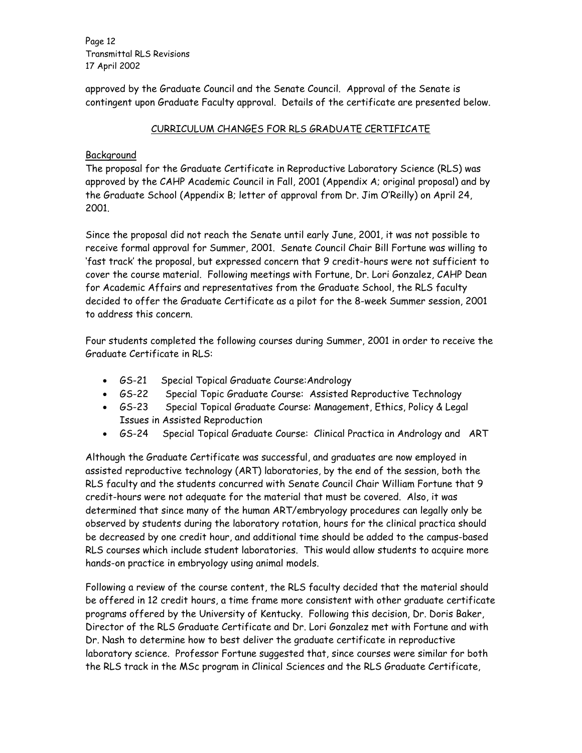Page 12 Transmittal RLS Revisions 17 April 2002

approved by the Graduate Council and the Senate Council. Approval of the Senate is contingent upon Graduate Faculty approval. Details of the certificate are presented below.

# CURRICULUM CHANGES FOR RLS GRADUATE CERTIFICATE

# Background

The proposal for the Graduate Certificate in Reproductive Laboratory Science (RLS) was approved by the CAHP Academic Council in Fall, 2001 (Appendix A; original proposal) and by the Graduate School (Appendix B; letter of approval from Dr. Jim O'Reilly) on April 24, 2001.

Since the proposal did not reach the Senate until early June, 2001, it was not possible to receive formal approval for Summer, 2001. Senate Council Chair Bill Fortune was willing to 'fast track' the proposal, but expressed concern that 9 credit-hours were not sufficient to cover the course material. Following meetings with Fortune, Dr. Lori Gonzalez, CAHP Dean for Academic Affairs and representatives from the Graduate School, the RLS faculty decided to offer the Graduate Certificate as a pilot for the 8-week Summer session, 2001 to address this concern.

Four students completed the following courses during Summer, 2001 in order to receive the Graduate Certificate in RLS:

- GS-21 Special Topical Graduate Course:Andrology
- GS-22 Special Topic Graduate Course: Assisted Reproductive Technology
- GS-23 Special Topical Graduate Course: Management, Ethics, Policy & Legal Issues in Assisted Reproduction
- GS-24 Special Topical Graduate Course: Clinical Practica in Andrology and ART

Although the Graduate Certificate was successful, and graduates are now employed in assisted reproductive technology (ART) laboratories, by the end of the session, both the RLS faculty and the students concurred with Senate Council Chair William Fortune that 9 credit-hours were not adequate for the material that must be covered. Also, it was determined that since many of the human ART/embryology procedures can legally only be observed by students during the laboratory rotation, hours for the clinical practica should be decreased by one credit hour, and additional time should be added to the campus-based RLS courses which include student laboratories. This would allow students to acquire more hands-on practice in embryology using animal models.

Following a review of the course content, the RLS faculty decided that the material should be offered in 12 credit hours, a time frame more consistent with other graduate certificate programs offered by the University of Kentucky. Following this decision, Dr. Doris Baker, Director of the RLS Graduate Certificate and Dr. Lori Gonzalez met with Fortune and with Dr. Nash to determine how to best deliver the graduate certificate in reproductive laboratory science. Professor Fortune suggested that, since courses were similar for both the RLS track in the MSc program in Clinical Sciences and the RLS Graduate Certificate,